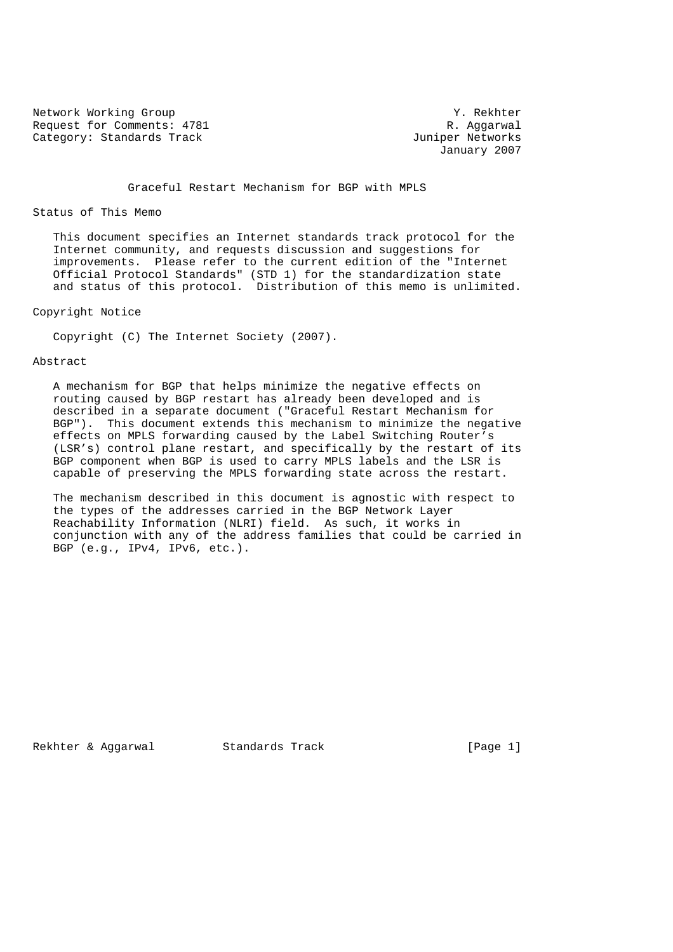Network Working Group Network Working Group Request for Comments: 4781 R. Aggarwal Category: Standards Track and South Category: Standards Track

January 2007

Graceful Restart Mechanism for BGP with MPLS

#### Status of This Memo

 This document specifies an Internet standards track protocol for the Internet community, and requests discussion and suggestions for improvements. Please refer to the current edition of the "Internet Official Protocol Standards" (STD 1) for the standardization state and status of this protocol. Distribution of this memo is unlimited.

## Copyright Notice

Copyright (C) The Internet Society (2007).

## Abstract

 A mechanism for BGP that helps minimize the negative effects on routing caused by BGP restart has already been developed and is described in a separate document ("Graceful Restart Mechanism for BGP"). This document extends this mechanism to minimize the negative effects on MPLS forwarding caused by the Label Switching Router's (LSR's) control plane restart, and specifically by the restart of its BGP component when BGP is used to carry MPLS labels and the LSR is capable of preserving the MPLS forwarding state across the restart.

 The mechanism described in this document is agnostic with respect to the types of the addresses carried in the BGP Network Layer Reachability Information (NLRI) field. As such, it works in conjunction with any of the address families that could be carried in BGP (e.g., IPv4, IPv6, etc.).

Rekhter & Aggarwal Standards Track [Page 1]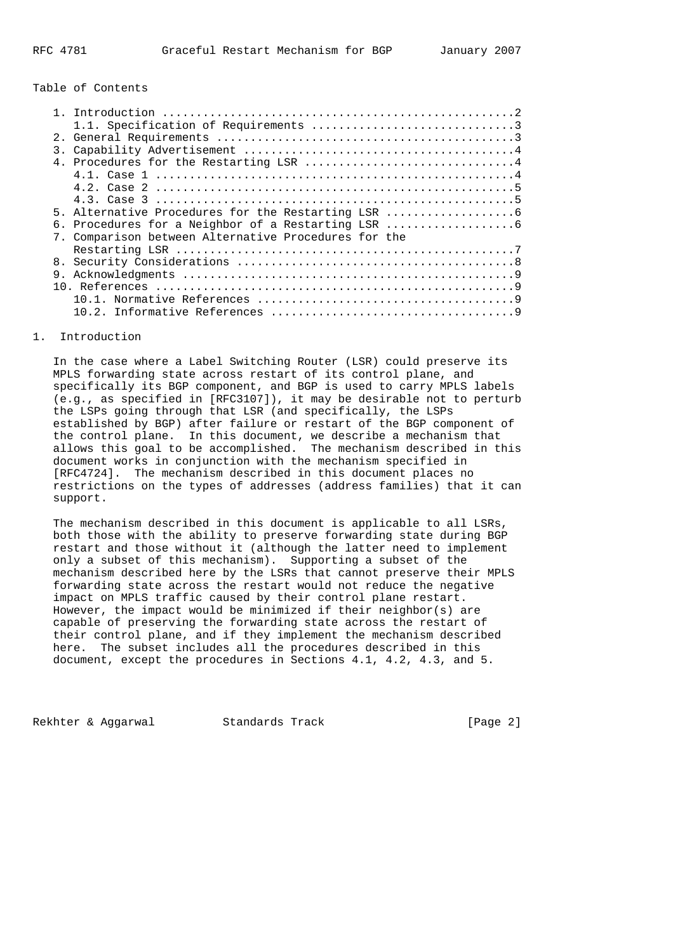Table of Contents

| 2 <sub>1</sub>   |                                                      |
|------------------|------------------------------------------------------|
| $\overline{3}$ . |                                                      |
|                  |                                                      |
|                  |                                                      |
|                  |                                                      |
|                  |                                                      |
|                  | 5. Alternative Procedures for the Restarting LSR     |
|                  |                                                      |
|                  | 7. Comparison between Alternative Procedures for the |
|                  |                                                      |
| 8.               |                                                      |
|                  |                                                      |
|                  |                                                      |
|                  |                                                      |
|                  | 1 N 1                                                |
|                  |                                                      |
|                  |                                                      |

#### 1. Introduction

 In the case where a Label Switching Router (LSR) could preserve its MPLS forwarding state across restart of its control plane, and specifically its BGP component, and BGP is used to carry MPLS labels (e.g., as specified in [RFC3107]), it may be desirable not to perturb the LSPs going through that LSR (and specifically, the LSPs established by BGP) after failure or restart of the BGP component of the control plane. In this document, we describe a mechanism that allows this goal to be accomplished. The mechanism described in this document works in conjunction with the mechanism specified in [RFC4724]. The mechanism described in this document places no restrictions on the types of addresses (address families) that it can support.

 The mechanism described in this document is applicable to all LSRs, both those with the ability to preserve forwarding state during BGP restart and those without it (although the latter need to implement only a subset of this mechanism). Supporting a subset of the mechanism described here by the LSRs that cannot preserve their MPLS forwarding state across the restart would not reduce the negative impact on MPLS traffic caused by their control plane restart. However, the impact would be minimized if their neighbor(s) are capable of preserving the forwarding state across the restart of their control plane, and if they implement the mechanism described here. The subset includes all the procedures described in this document, except the procedures in Sections 4.1, 4.2, 4.3, and 5.

Rekhter & Aggarwal Standards Track [Page 2]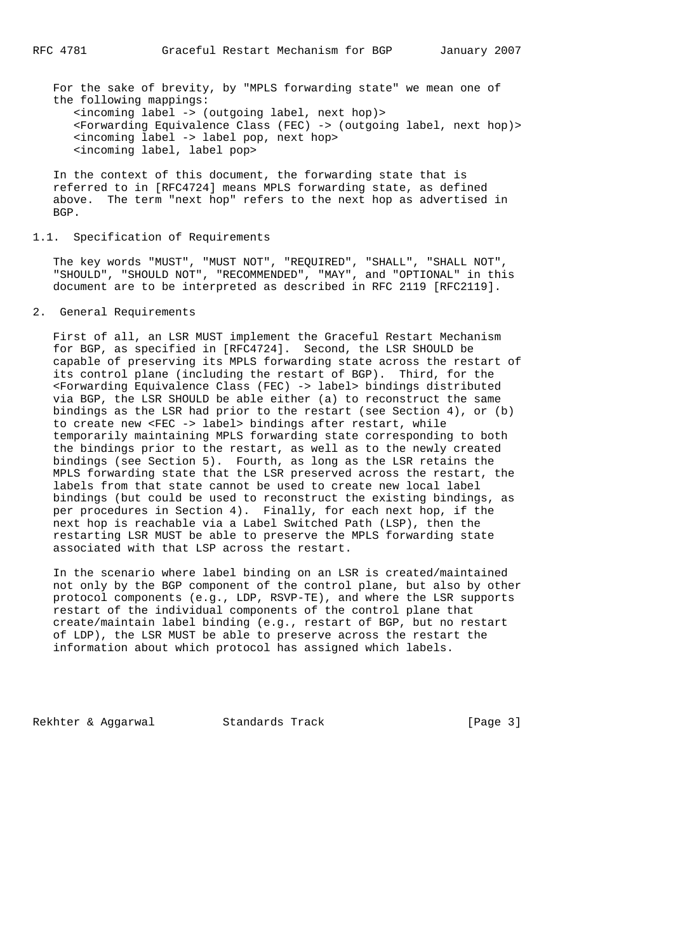For the sake of brevity, by "MPLS forwarding state" we mean one of the following mappings: <incoming label -> (outgoing label, next hop)> <Forwarding Equivalence Class (FEC) -> (outgoing label, next hop)> <incoming label -> label pop, next hop> <incoming label, label pop>

 In the context of this document, the forwarding state that is referred to in [RFC4724] means MPLS forwarding state, as defined above. The term "next hop" refers to the next hop as advertised in BGP.

## 1.1. Specification of Requirements

 The key words "MUST", "MUST NOT", "REQUIRED", "SHALL", "SHALL NOT", "SHOULD", "SHOULD NOT", "RECOMMENDED", "MAY", and "OPTIONAL" in this document are to be interpreted as described in RFC 2119 [RFC2119].

## 2. General Requirements

 First of all, an LSR MUST implement the Graceful Restart Mechanism for BGP, as specified in [RFC4724]. Second, the LSR SHOULD be capable of preserving its MPLS forwarding state across the restart of its control plane (including the restart of BGP). Third, for the <Forwarding Equivalence Class (FEC) -> label> bindings distributed via BGP, the LSR SHOULD be able either (a) to reconstruct the same bindings as the LSR had prior to the restart (see Section 4), or (b) to create new <FEC -> label> bindings after restart, while temporarily maintaining MPLS forwarding state corresponding to both the bindings prior to the restart, as well as to the newly created bindings (see Section 5). Fourth, as long as the LSR retains the MPLS forwarding state that the LSR preserved across the restart, the labels from that state cannot be used to create new local label bindings (but could be used to reconstruct the existing bindings, as per procedures in Section 4). Finally, for each next hop, if the next hop is reachable via a Label Switched Path (LSP), then the restarting LSR MUST be able to preserve the MPLS forwarding state associated with that LSP across the restart.

 In the scenario where label binding on an LSR is created/maintained not only by the BGP component of the control plane, but also by other protocol components (e.g., LDP, RSVP-TE), and where the LSR supports restart of the individual components of the control plane that create/maintain label binding (e.g., restart of BGP, but no restart of LDP), the LSR MUST be able to preserve across the restart the information about which protocol has assigned which labels.

Rekhter & Aggarwal Standards Track [Page 3]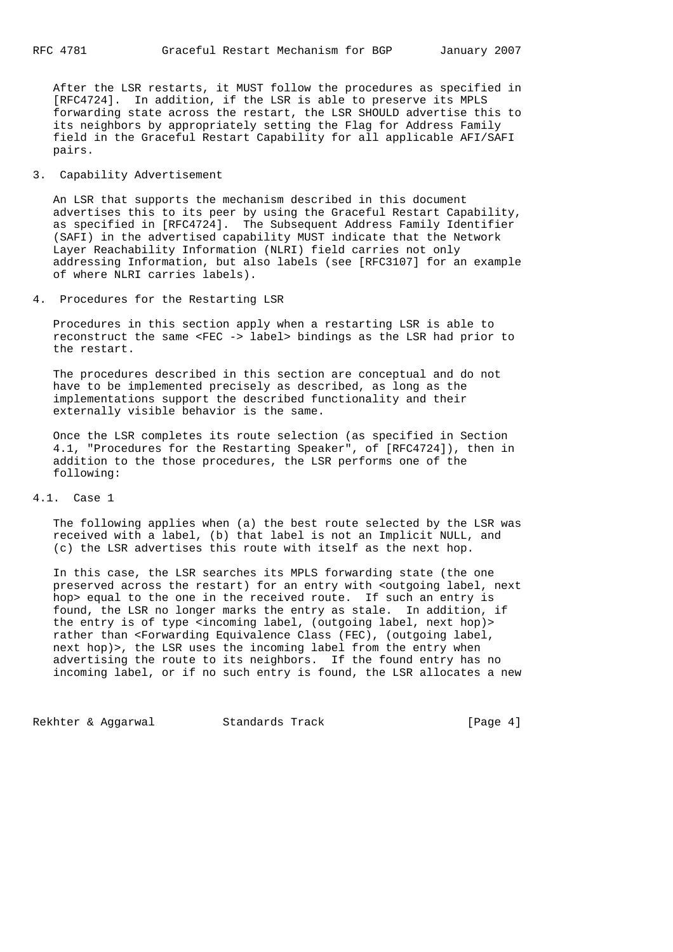After the LSR restarts, it MUST follow the procedures as specified in [RFC4724]. In addition, if the LSR is able to preserve its MPLS forwarding state across the restart, the LSR SHOULD advertise this to its neighbors by appropriately setting the Flag for Address Family field in the Graceful Restart Capability for all applicable AFI/SAFI pairs.

# 3. Capability Advertisement

 An LSR that supports the mechanism described in this document advertises this to its peer by using the Graceful Restart Capability, as specified in [RFC4724]. The Subsequent Address Family Identifier (SAFI) in the advertised capability MUST indicate that the Network Layer Reachability Information (NLRI) field carries not only addressing Information, but also labels (see [RFC3107] for an example of where NLRI carries labels).

4. Procedures for the Restarting LSR

 Procedures in this section apply when a restarting LSR is able to reconstruct the same <FEC -> label> bindings as the LSR had prior to the restart.

 The procedures described in this section are conceptual and do not have to be implemented precisely as described, as long as the implementations support the described functionality and their externally visible behavior is the same.

 Once the LSR completes its route selection (as specified in Section 4.1, "Procedures for the Restarting Speaker", of [RFC4724]), then in addition to the those procedures, the LSR performs one of the following:

## 4.1. Case 1

 The following applies when (a) the best route selected by the LSR was received with a label, (b) that label is not an Implicit NULL, and (c) the LSR advertises this route with itself as the next hop.

 In this case, the LSR searches its MPLS forwarding state (the one preserved across the restart) for an entry with <outgoing label, next hop> equal to the one in the received route. If such an entry is found, the LSR no longer marks the entry as stale. In addition, if the entry is of type <incoming label, (outgoing label, next hop)> rather than <Forwarding Equivalence Class (FEC), (outgoing label, next hop)>, the LSR uses the incoming label from the entry when advertising the route to its neighbors. If the found entry has no incoming label, or if no such entry is found, the LSR allocates a new

Rekhter & Aggarwal Standards Track [Page 4]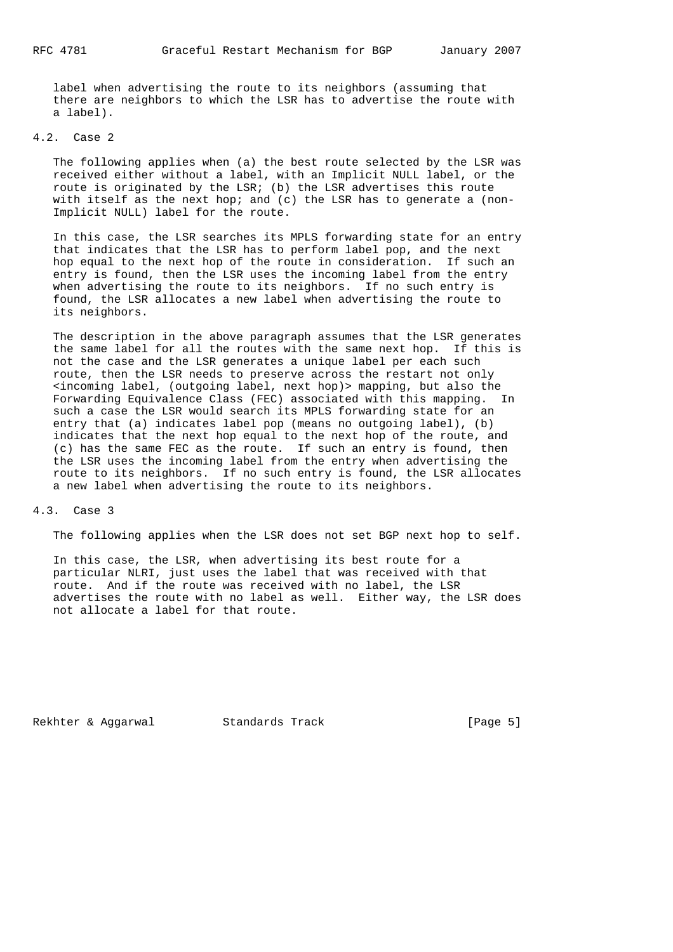label when advertising the route to its neighbors (assuming that there are neighbors to which the LSR has to advertise the route with a label).

# 4.2. Case 2

 The following applies when (a) the best route selected by the LSR was received either without a label, with an Implicit NULL label, or the route is originated by the LSR; (b) the LSR advertises this route with itself as the next hop; and (c) the LSR has to generate a (non- Implicit NULL) label for the route.

 In this case, the LSR searches its MPLS forwarding state for an entry that indicates that the LSR has to perform label pop, and the next hop equal to the next hop of the route in consideration. If such an entry is found, then the LSR uses the incoming label from the entry when advertising the route to its neighbors. If no such entry is found, the LSR allocates a new label when advertising the route to its neighbors.

 The description in the above paragraph assumes that the LSR generates the same label for all the routes with the same next hop. If this is not the case and the LSR generates a unique label per each such route, then the LSR needs to preserve across the restart not only <incoming label, (outgoing label, next hop)> mapping, but also the Forwarding Equivalence Class (FEC) associated with this mapping. In such a case the LSR would search its MPLS forwarding state for an entry that (a) indicates label pop (means no outgoing label), (b) indicates that the next hop equal to the next hop of the route, and (c) has the same FEC as the route. If such an entry is found, then the LSR uses the incoming label from the entry when advertising the route to its neighbors. If no such entry is found, the LSR allocates a new label when advertising the route to its neighbors.

#### 4.3. Case 3

The following applies when the LSR does not set BGP next hop to self.

 In this case, the LSR, when advertising its best route for a particular NLRI, just uses the label that was received with that route. And if the route was received with no label, the LSR advertises the route with no label as well. Either way, the LSR does not allocate a label for that route.

Rekhter & Aggarwal Standards Track [Page 5]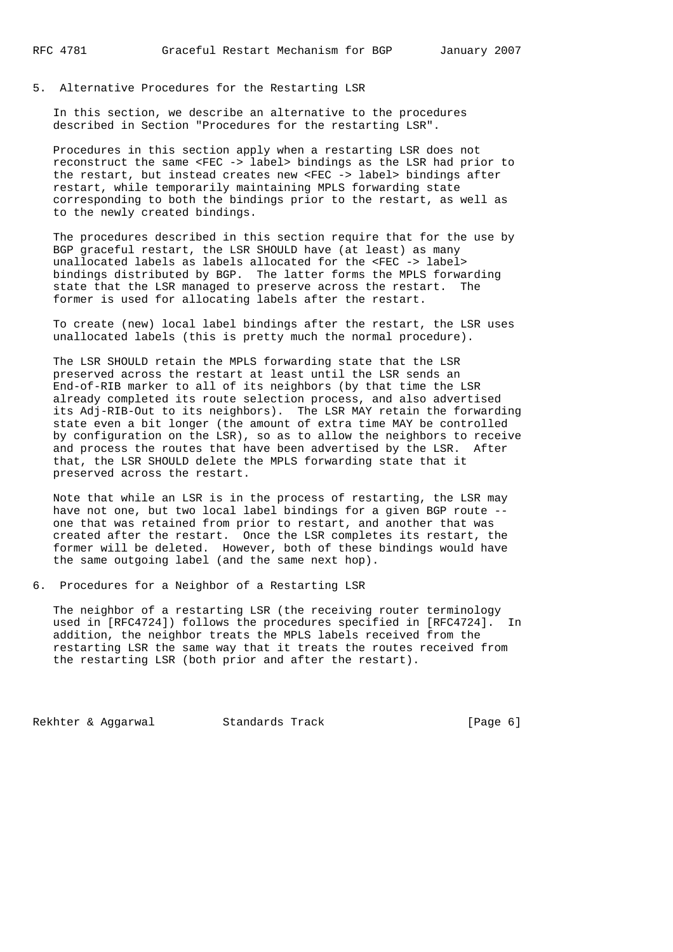5. Alternative Procedures for the Restarting LSR

 In this section, we describe an alternative to the procedures described in Section "Procedures for the restarting LSR".

 Procedures in this section apply when a restarting LSR does not reconstruct the same <FEC -> label> bindings as the LSR had prior to the restart, but instead creates new <FEC -> label> bindings after restart, while temporarily maintaining MPLS forwarding state corresponding to both the bindings prior to the restart, as well as to the newly created bindings.

 The procedures described in this section require that for the use by BGP graceful restart, the LSR SHOULD have (at least) as many unallocated labels as labels allocated for the <FEC -> label> bindings distributed by BGP. The latter forms the MPLS forwarding state that the LSR managed to preserve across the restart. The former is used for allocating labels after the restart.

 To create (new) local label bindings after the restart, the LSR uses unallocated labels (this is pretty much the normal procedure).

 The LSR SHOULD retain the MPLS forwarding state that the LSR preserved across the restart at least until the LSR sends an End-of-RIB marker to all of its neighbors (by that time the LSR already completed its route selection process, and also advertised its Adj-RIB-Out to its neighbors). The LSR MAY retain the forwarding state even a bit longer (the amount of extra time MAY be controlled by configuration on the LSR), so as to allow the neighbors to receive and process the routes that have been advertised by the LSR. After that, the LSR SHOULD delete the MPLS forwarding state that it preserved across the restart.

 Note that while an LSR is in the process of restarting, the LSR may have not one, but two local label bindings for a given BGP route - one that was retained from prior to restart, and another that was created after the restart. Once the LSR completes its restart, the former will be deleted. However, both of these bindings would have the same outgoing label (and the same next hop).

6. Procedures for a Neighbor of a Restarting LSR

 The neighbor of a restarting LSR (the receiving router terminology used in [RFC4724]) follows the procedures specified in [RFC4724]. In addition, the neighbor treats the MPLS labels received from the restarting LSR the same way that it treats the routes received from the restarting LSR (both prior and after the restart).

Rekhter & Aggarwal Standards Track [Page 6]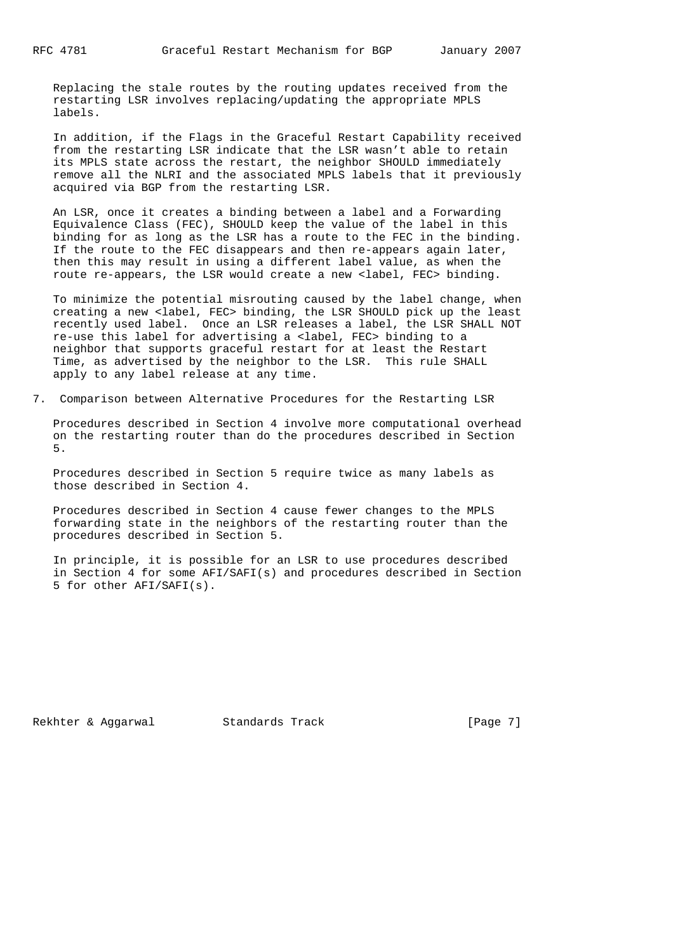Replacing the stale routes by the routing updates received from the restarting LSR involves replacing/updating the appropriate MPLS labels.

 In addition, if the Flags in the Graceful Restart Capability received from the restarting LSR indicate that the LSR wasn't able to retain its MPLS state across the restart, the neighbor SHOULD immediately remove all the NLRI and the associated MPLS labels that it previously acquired via BGP from the restarting LSR.

 An LSR, once it creates a binding between a label and a Forwarding Equivalence Class (FEC), SHOULD keep the value of the label in this binding for as long as the LSR has a route to the FEC in the binding. If the route to the FEC disappears and then re-appears again later, then this may result in using a different label value, as when the route re-appears, the LSR would create a new <label, FEC> binding.

 To minimize the potential misrouting caused by the label change, when creating a new <label, FEC> binding, the LSR SHOULD pick up the least recently used label. Once an LSR releases a label, the LSR SHALL NOT re-use this label for advertising a <label, FEC> binding to a neighbor that supports graceful restart for at least the Restart Time, as advertised by the neighbor to the LSR. This rule SHALL apply to any label release at any time.

7. Comparison between Alternative Procedures for the Restarting LSR

 Procedures described in Section 4 involve more computational overhead on the restarting router than do the procedures described in Section 5.

 Procedures described in Section 5 require twice as many labels as those described in Section 4.

 Procedures described in Section 4 cause fewer changes to the MPLS forwarding state in the neighbors of the restarting router than the procedures described in Section 5.

 In principle, it is possible for an LSR to use procedures described in Section 4 for some AFI/SAFI(s) and procedures described in Section 5 for other AFI/SAFI(s).

Rekhter & Aggarwal Standards Track [Page 7]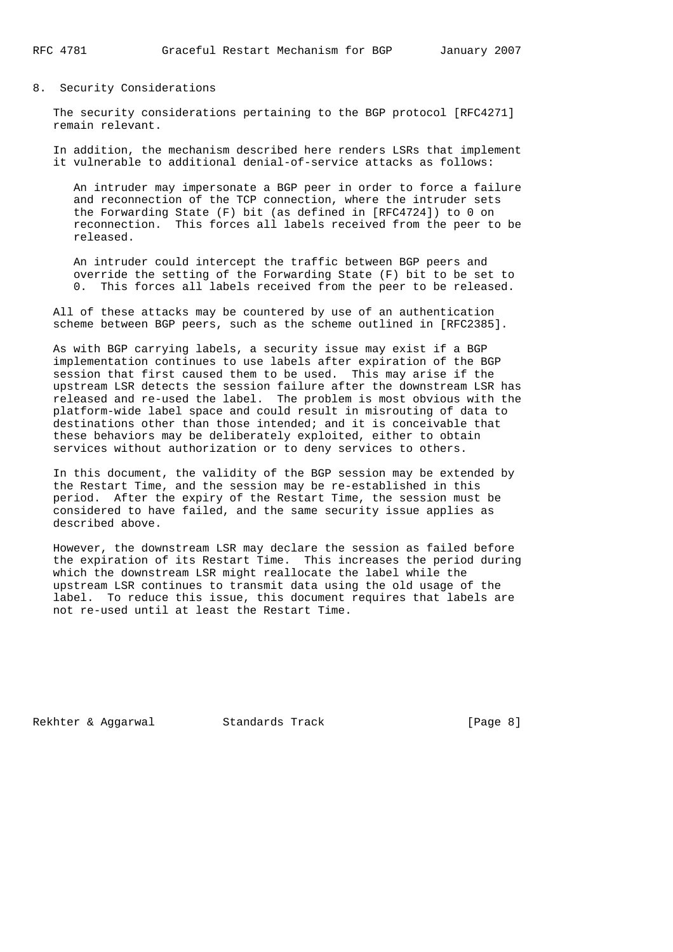8. Security Considerations

 The security considerations pertaining to the BGP protocol [RFC4271] remain relevant.

 In addition, the mechanism described here renders LSRs that implement it vulnerable to additional denial-of-service attacks as follows:

 An intruder may impersonate a BGP peer in order to force a failure and reconnection of the TCP connection, where the intruder sets the Forwarding State (F) bit (as defined in [RFC4724]) to 0 on reconnection. This forces all labels received from the peer to be released.

 An intruder could intercept the traffic between BGP peers and override the setting of the Forwarding State (F) bit to be set to 0. This forces all labels received from the peer to be released.

 All of these attacks may be countered by use of an authentication scheme between BGP peers, such as the scheme outlined in [RFC2385].

 As with BGP carrying labels, a security issue may exist if a BGP implementation continues to use labels after expiration of the BGP session that first caused them to be used. This may arise if the upstream LSR detects the session failure after the downstream LSR has released and re-used the label. The problem is most obvious with the platform-wide label space and could result in misrouting of data to destinations other than those intended; and it is conceivable that these behaviors may be deliberately exploited, either to obtain services without authorization or to deny services to others.

 In this document, the validity of the BGP session may be extended by the Restart Time, and the session may be re-established in this period. After the expiry of the Restart Time, the session must be considered to have failed, and the same security issue applies as described above.

 However, the downstream LSR may declare the session as failed before the expiration of its Restart Time. This increases the period during which the downstream LSR might reallocate the label while the upstream LSR continues to transmit data using the old usage of the label. To reduce this issue, this document requires that labels are not re-used until at least the Restart Time.

Rekhter & Aggarwal Standards Track [Page 8]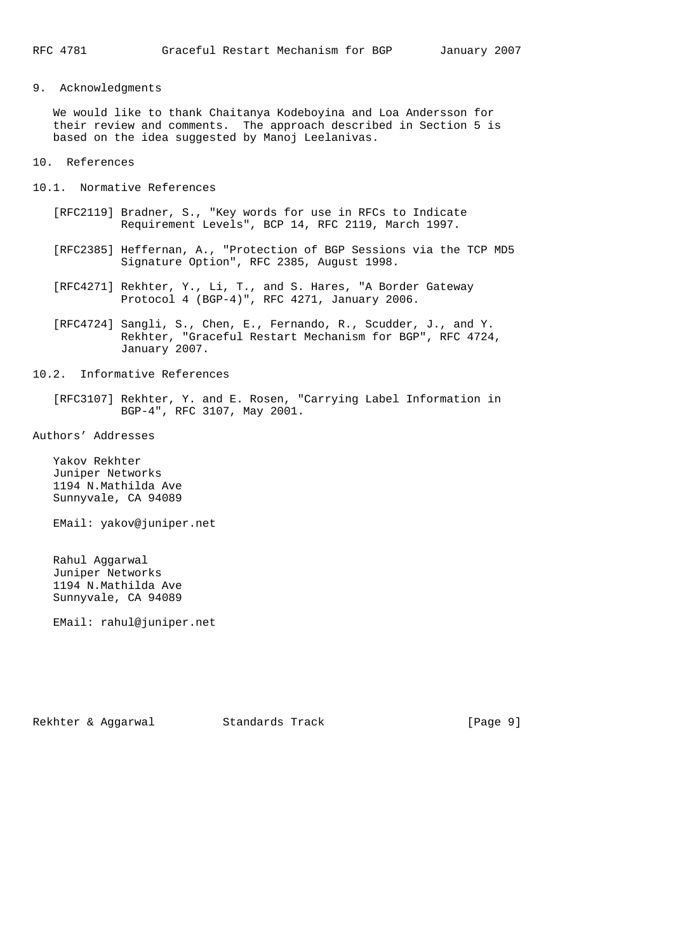# 9. Acknowledgments

 We would like to thank Chaitanya Kodeboyina and Loa Andersson for their review and comments. The approach described in Section 5 is based on the idea suggested by Manoj Leelanivas.

10. References

- 10.1. Normative References
	- [RFC2119] Bradner, S., "Key words for use in RFCs to Indicate Requirement Levels", BCP 14, RFC 2119, March 1997.
	- [RFC2385] Heffernan, A., "Protection of BGP Sessions via the TCP MD5 Signature Option", RFC 2385, August 1998.
	- [RFC4271] Rekhter, Y., Li, T., and S. Hares, "A Border Gateway Protocol 4 (BGP-4)", RFC 4271, January 2006.
	- [RFC4724] Sangli, S., Chen, E., Fernando, R., Scudder, J., and Y. Rekhter, "Graceful Restart Mechanism for BGP", RFC 4724, January 2007.
- 10.2. Informative References
	- [RFC3107] Rekhter, Y. and E. Rosen, "Carrying Label Information in BGP-4", RFC 3107, May 2001.

Authors' Addresses

 Yakov Rekhter Juniper Networks 1194 N.Mathilda Ave Sunnyvale, CA 94089

EMail: yakov@juniper.net

 Rahul Aggarwal Juniper Networks 1194 N.Mathilda Ave Sunnyvale, CA 94089

EMail: rahul@juniper.net

Rekhter & Aggarwal Standards Track [Page 9]